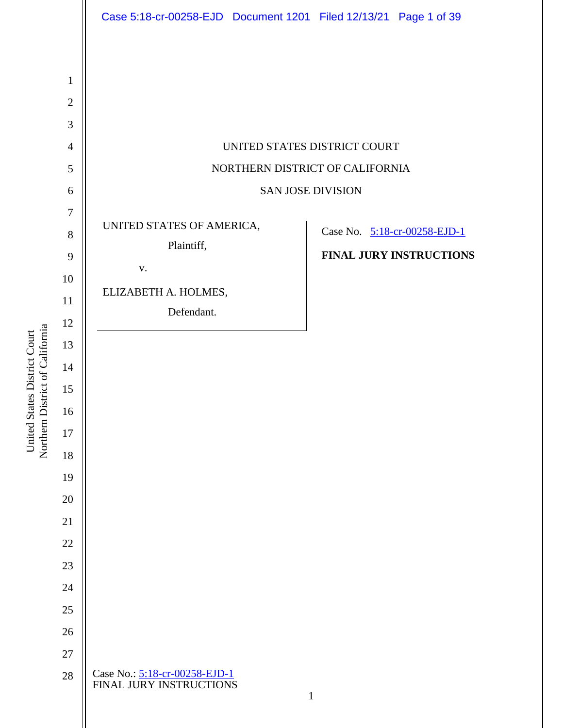

Northern District of California Northern District of California United States District Court United States District Court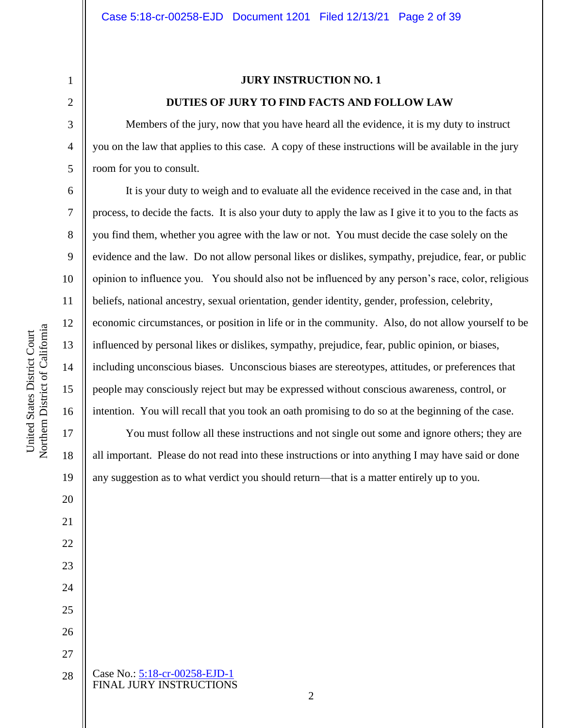13

14

15

16

17

18

19

20

21

22

23

24

25

26

27

## **JURY INSTRUCTION NO. 1 DUTIES OF JURY TO FIND FACTS AND FOLLOW LAW**

Members of the jury, now that you have heard all the evidence, it is my duty to instruct you on the law that applies to this case. A copy of these instructions will be available in the jury room for you to consult.

It is your duty to weigh and to evaluate all the evidence received in the case and, in that process, to decide the facts. It is also your duty to apply the law as I give it to you to the facts as you find them, whether you agree with the law or not. You must decide the case solely on the evidence and the law. Do not allow personal likes or dislikes, sympathy, prejudice, fear, or public opinion to influence you. You should also not be influenced by any person's race, color, religious beliefs, national ancestry, sexual orientation, gender identity, gender, profession, celebrity, economic circumstances, or position in life or in the community. Also, do not allow yourself to be influenced by personal likes or dislikes, sympathy, prejudice, fear, public opinion, or biases, including unconscious biases. Unconscious biases are stereotypes, attitudes, or preferences that people may consciously reject but may be expressed without conscious awareness, control, or intention. You will recall that you took an oath promising to do so at the beginning of the case.

You must follow all these instructions and not single out some and ignore others; they are all important. Please do not read into these instructions or into anything I may have said or done any suggestion as to what verdict you should return—that is a matter entirely up to you.

Case No.: [5:18-cr-00258-EJD-1](https://ecf.cand.uscourts.gov/cgi-bin/DktRpt.pl?327949) FINAL JURY INSTRUCTIONS 28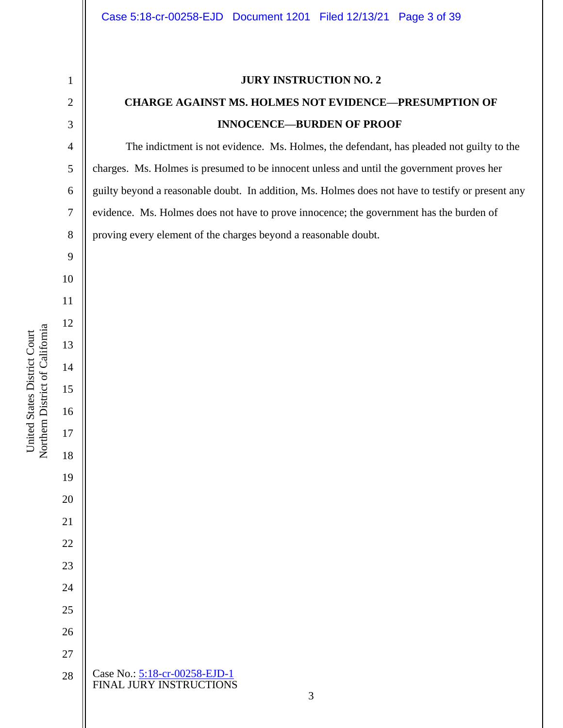Case No.: [5:18-cr-00258-EJD-1](https://ecf.cand.uscourts.gov/cgi-bin/DktRpt.pl?327949) FINAL JURY INSTRUCTIONS **JURY INSTRUCTION NO. 2 CHARGE AGAINST MS. HOLMES NOT EVIDENCE—PRESUMPTION OF INNOCENCE—BURDEN OF PROOF** The indictment is not evidence. Ms. Holmes, the defendant, has pleaded not guilty to the charges. Ms. Holmes is presumed to be innocent unless and until the government proves her guilty beyond a reasonable doubt. In addition, Ms. Holmes does not have to testify or present any evidence. Ms. Holmes does not have to prove innocence; the government has the burden of proving every element of the charges beyond a reasonable doubt.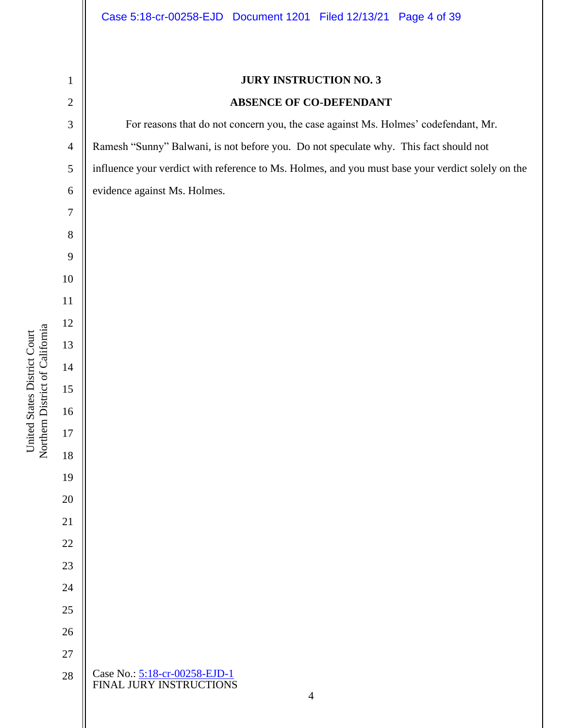### Case 5:18-cr-00258-EJD Document 1201 Filed 12/13/21 Page 4 of 39

# **JURY INSTRUCTION NO. 3 ABSENCE OF CO-DEFENDANT** For reasons that do not concern you, the case against Ms. Holmes' codefendant, Mr. Ramesh "Sunny" Balwani, is not before you. Do not speculate why. This fact should not influence your verdict with reference to Ms. Holmes, and you must base your verdict solely on the evidence against Ms. Holmes. Northern District of California Northern District of California United States District Court United States District Court

- Case No.: [5:18-cr-00258-EJD-1](https://ecf.cand.uscourts.gov/cgi-bin/DktRpt.pl?327949) FINAL JURY INSTRUCTIONS
-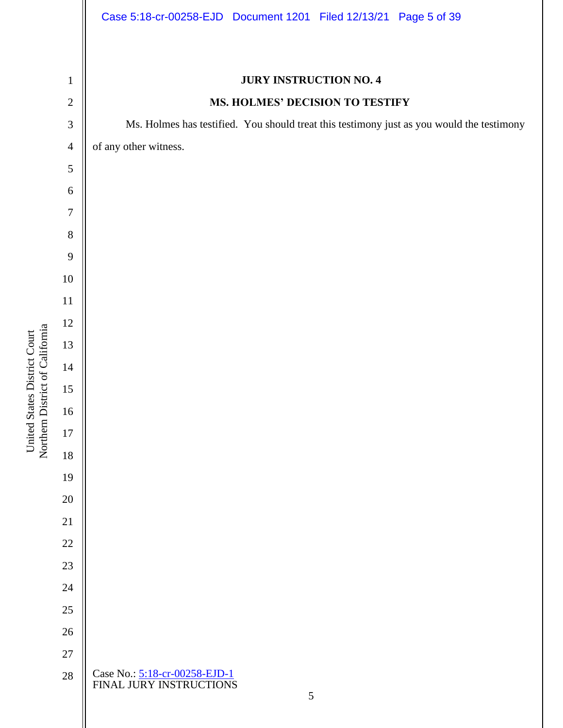Case No.: [5:18-cr-00258-EJD-1](https://ecf.cand.uscourts.gov/cgi-bin/DktRpt.pl?327949) FINAL JURY INSTRUCTIONS **JURY INSTRUCTION NO. 4 MS. HOLMES' DECISION TO TESTIFY** Ms. Holmes has testified. You should treat this testimony just as you would the testimony of any other witness.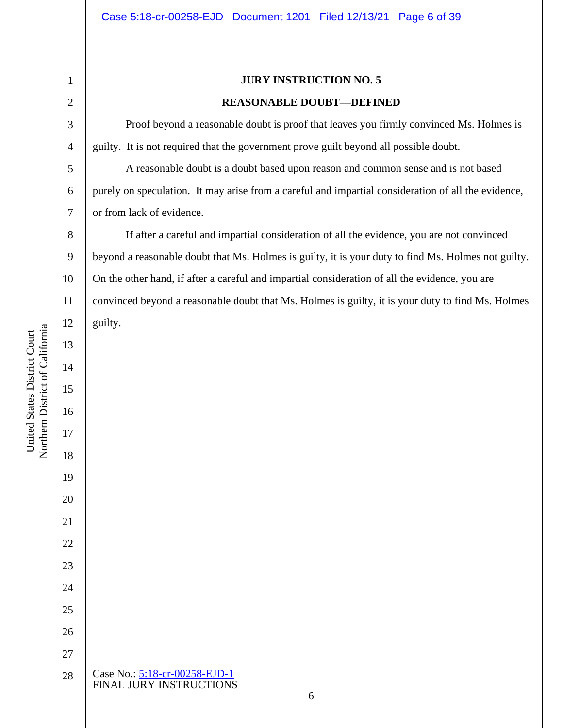### **JURY INSTRUCTION NO. 5**

### **REASONABLE DOUBT—DEFINED**

Proof beyond a reasonable doubt is proof that leaves you firmly convinced Ms. Holmes is guilty. It is not required that the government prove guilt beyond all possible doubt.

A reasonable doubt is a doubt based upon reason and common sense and is not based purely on speculation. It may arise from a careful and impartial consideration of all the evidence, or from lack of evidence.

If after a careful and impartial consideration of all the evidence, you are not convinced beyond a reasonable doubt that Ms. Holmes is guilty, it is your duty to find Ms. Holmes not guilty. On the other hand, if after a careful and impartial consideration of all the evidence, you are convinced beyond a reasonable doubt that Ms. Holmes is guilty, it is your duty to find Ms. Holmes guilty.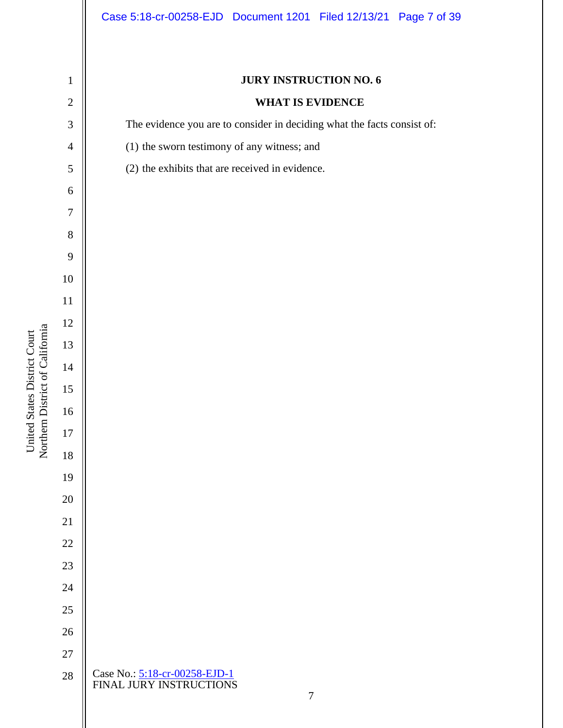## **WHAT IS EVIDENCE**

The evidence you are to consider in deciding what the facts consist of:

(1) the sworn testimony of any witness; and

| 5                | (2) the exhibits that are received in evidence.               |
|------------------|---------------------------------------------------------------|
| $\boldsymbol{6}$ |                                                               |
| $\overline{7}$   |                                                               |
| $\,8\,$          |                                                               |
| 9                |                                                               |
| 10               |                                                               |
| 11               |                                                               |
| 12               |                                                               |
| 13               |                                                               |
| 14               |                                                               |
| $15\,$           |                                                               |
| 16               |                                                               |
| $17\,$           |                                                               |
| $18\,$           |                                                               |
| 19               |                                                               |
| 20               |                                                               |
| 21               |                                                               |
| 22               |                                                               |
| 23               |                                                               |
| 24               |                                                               |
| 25               |                                                               |
| 26               |                                                               |
| 27               |                                                               |
| $28\,$           | Case No.: 5:18-cr-00258-EJD-1<br>FINAL JURY INSTRUCTIONS<br>7 |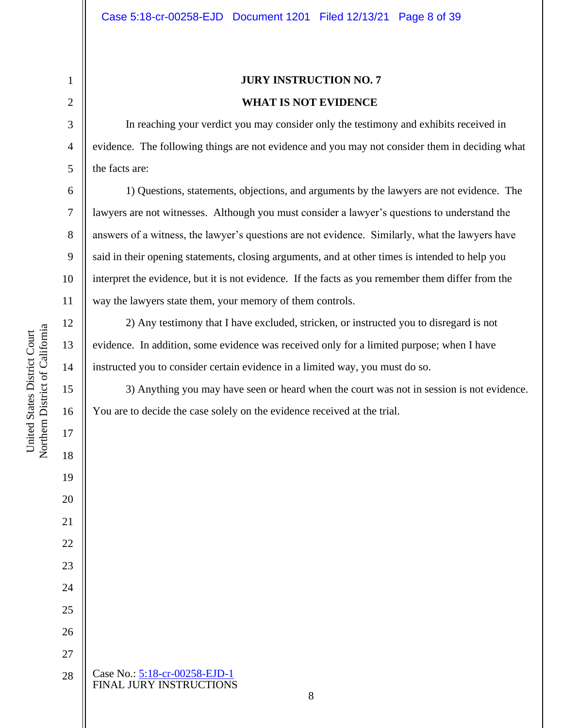# **JURY INSTRUCTION NO. 7 WHAT IS NOT EVIDENCE**

In reaching your verdict you may consider only the testimony and exhibits received in evidence. The following things are not evidence and you may not consider them in deciding what the facts are:

1) Questions, statements, objections, and arguments by the lawyers are not evidence. The lawyers are not witnesses. Although you must consider a lawyer's questions to understand the answers of a witness, the lawyer's questions are not evidence. Similarly, what the lawyers have said in their opening statements, closing arguments, and at other times is intended to help you interpret the evidence, but it is not evidence. If the facts as you remember them differ from the way the lawyers state them, your memory of them controls.

2) Any testimony that I have excluded, stricken, or instructed you to disregard is not evidence. In addition, some evidence was received only for a limited purpose; when I have instructed you to consider certain evidence in a limited way, you must do so.

3) Anything you may have seen or heard when the court was not in session is not evidence. You are to decide the case solely on the evidence received at the trial.

Northern District of California Northern District of California United States District Court United States District Court

1

2

3

4

5

6

7

8

9

10

11

12

13

14

15

16

17

18

19

20

21

22

23

24

25

26

27

28

Case No.: [5:18-cr-00258-EJD-1](https://ecf.cand.uscourts.gov/cgi-bin/DktRpt.pl?327949) FINAL JURY INSTRUCTIONS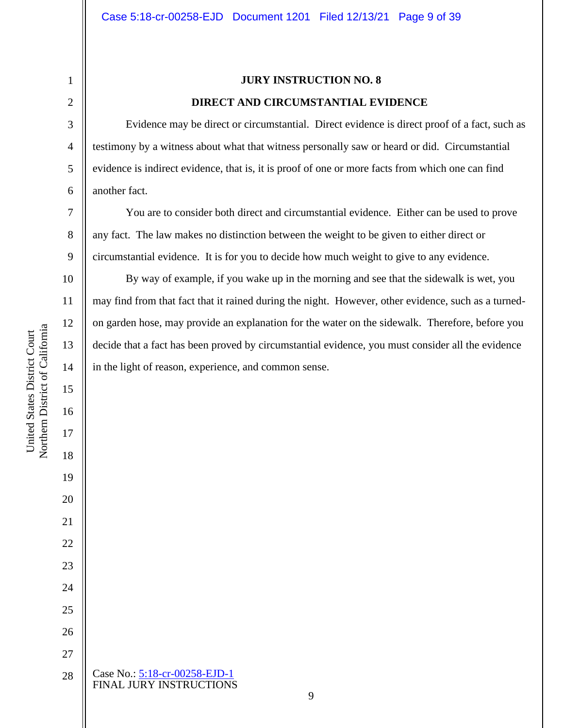# **JURY INSTRUCTION NO. 8 DIRECT AND CIRCUMSTANTIAL EVIDENCE**

Evidence may be direct or circumstantial. Direct evidence is direct proof of a fact, such as testimony by a witness about what that witness personally saw or heard or did. Circumstantial evidence is indirect evidence, that is, it is proof of one or more facts from which one can find another fact.

You are to consider both direct and circumstantial evidence. Either can be used to prove any fact. The law makes no distinction between the weight to be given to either direct or circumstantial evidence. It is for you to decide how much weight to give to any evidence.

By way of example, if you wake up in the morning and see that the sidewalk is wet, you may find from that fact that it rained during the night. However, other evidence, such as a turnedon garden hose, may provide an explanation for the water on the sidewalk. Therefore, before you decide that a fact has been proved by circumstantial evidence, you must consider all the evidence in the light of reason, experience, and common sense.

1

2

3

4

5

6

7

8

9

10

11

12

13

14

15

16

17

18

19

20

21

22

23

24

25

26

27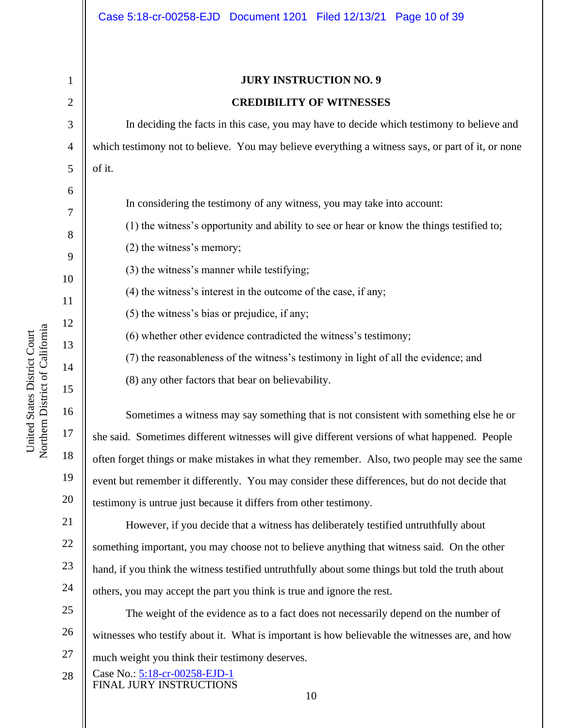2

3

4

5

6

7

8

9

10

11

12

13

14

15

16

17

18

19

20

21

22

23

24

# **JURY INSTRUCTION NO. 9 CREDIBILITY OF WITNESSES**

In deciding the facts in this case, you may have to decide which testimony to believe and which testimony not to believe. You may believe everything a witness says, or part of it, or none of it.

In considering the testimony of any witness, you may take into account:

(1) the witness's opportunity and ability to see or hear or know the things testified to;

(2) the witness's memory;

(3) the witness's manner while testifying;

(4) the witness's interest in the outcome of the case, if any;

(5) the witness's bias or prejudice, if any;

(6) whether other evidence contradicted the witness's testimony;

(7) the reasonableness of the witness's testimony in light of all the evidence; and

(8) any other factors that bear on believability.

Sometimes a witness may say something that is not consistent with something else he or she said. Sometimes different witnesses will give different versions of what happened. People often forget things or make mistakes in what they remember. Also, two people may see the same event but remember it differently. You may consider these differences, but do not decide that testimony is untrue just because it differs from other testimony.

However, if you decide that a witness has deliberately testified untruthfully about something important, you may choose not to believe anything that witness said. On the other hand, if you think the witness testified untruthfully about some things but told the truth about others, you may accept the part you think is true and ignore the rest.

25 26 27 The weight of the evidence as to a fact does not necessarily depend on the number of witnesses who testify about it. What is important is how believable the witnesses are, and how much weight you think their testimony deserves.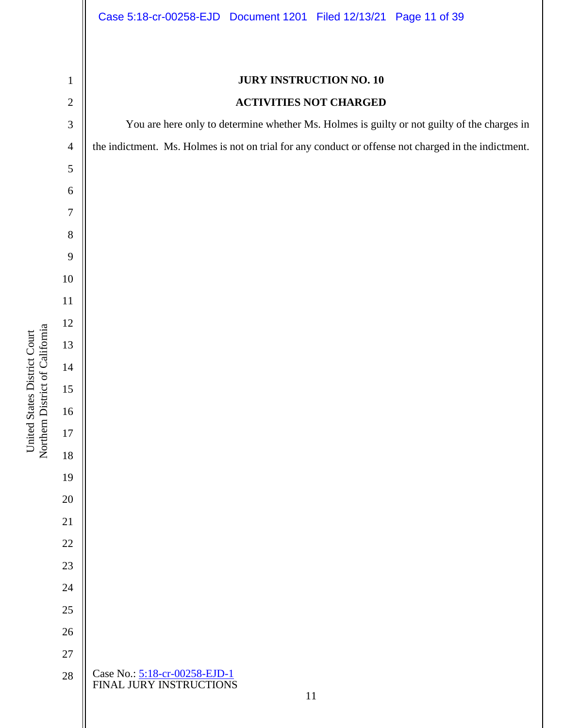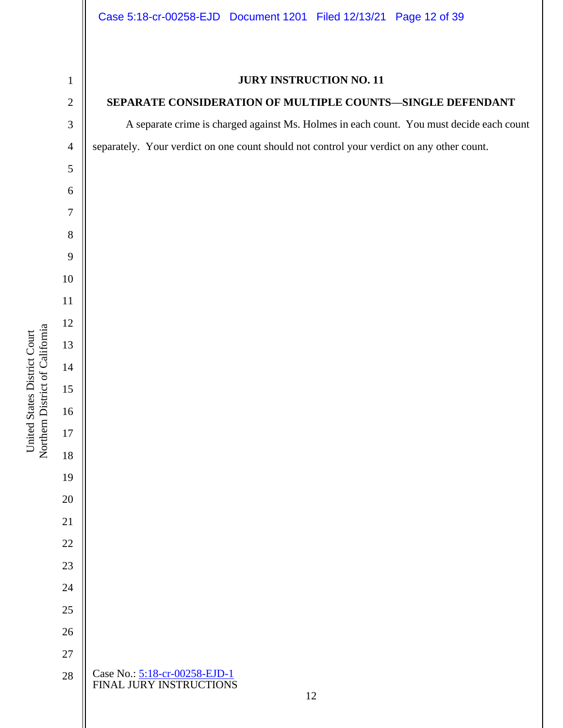

Case No.: [5:18-cr-00258-EJD-1](https://ecf.cand.uscourts.gov/cgi-bin/DktRpt.pl?327949) FINAL JURY INSTRUCTIONS 

## **JURY INSTRUCTION NO. 11**

### **SEPARATE CONSIDERATION OF MULTIPLE COUNTS—SINGLE DEFENDANT**

A separate crime is charged against Ms. Holmes in each count. You must decide each count separately. Your verdict on one count should not control your verdict on any other count.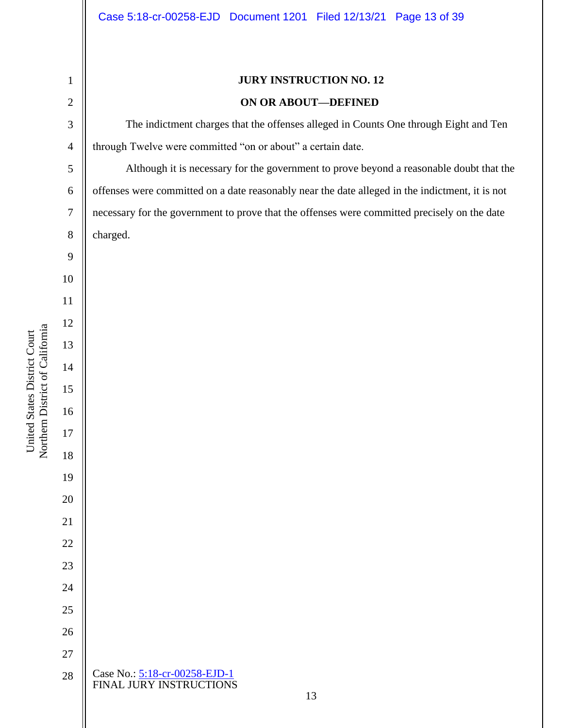# Case No.: [5:18-cr-00258-EJD-1](https://ecf.cand.uscourts.gov/cgi-bin/DktRpt.pl?327949) FINAL JURY INSTRUCTIONS **JURY INSTRUCTION NO. 12 ON OR ABOUT—DEFINED** The indictment charges that the offenses alleged in Counts One through Eight and Ten through Twelve were committed "on or about" a certain date. Although it is necessary for the government to prove beyond a reasonable doubt that the offenses were committed on a date reasonably near the date alleged in the indictment, it is not necessary for the government to prove that the offenses were committed precisely on the date charged.

Northern District of California Northern District of California United States District Court United States District Court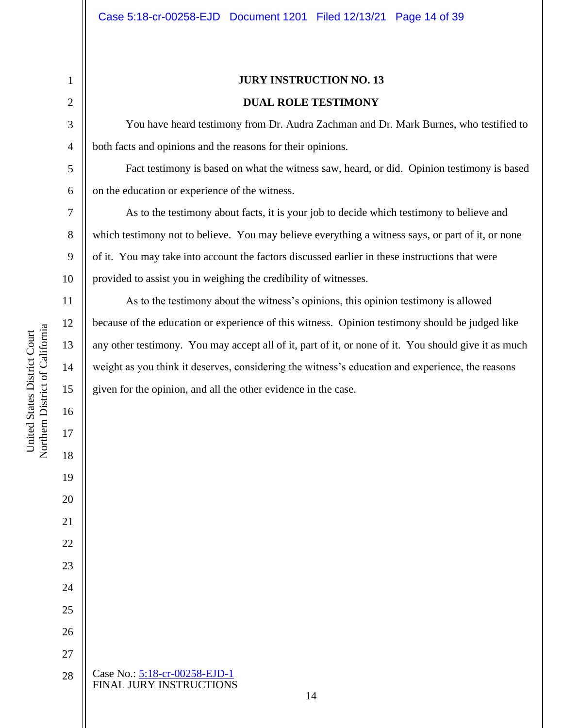13

14

15

16

17

18

19

20

21

22

23

24

25

26

27

28

**JURY INSTRUCTION NO. 13 DUAL ROLE TESTIMONY**

You have heard testimony from Dr. Audra Zachman and Dr. Mark Burnes, who testified to both facts and opinions and the reasons for their opinions.

Fact testimony is based on what the witness saw, heard, or did. Opinion testimony is based on the education or experience of the witness.

As to the testimony about facts, it is your job to decide which testimony to believe and which testimony not to believe. You may believe everything a witness says, or part of it, or none of it. You may take into account the factors discussed earlier in these instructions that were provided to assist you in weighing the credibility of witnesses.

As to the testimony about the witness's opinions, this opinion testimony is allowed because of the education or experience of this witness. Opinion testimony should be judged like any other testimony. You may accept all of it, part of it, or none of it. You should give it as much weight as you think it deserves, considering the witness's education and experience, the reasons given for the opinion, and all the other evidence in the case.

Case No.: [5:18-cr-00258-EJD-1](https://ecf.cand.uscourts.gov/cgi-bin/DktRpt.pl?327949) FINAL JURY INSTRUCTIONS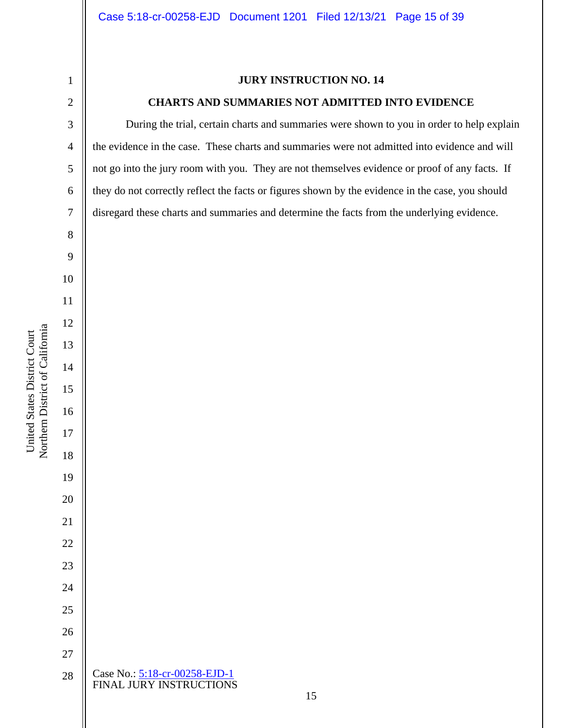# **JURY INSTRUCTION NO. 14**

### **CHARTS AND SUMMARIES NOT ADMITTED INTO EVIDENCE**

During the trial, certain charts and summaries were shown to you in order to help explain the evidence in the case. These charts and summaries were not admitted into evidence and will not go into the jury room with you. They are not themselves evidence or proof of any facts. If they do not correctly reflect the facts or figures shown by the evidence in the case, you should disregard these charts and summaries and determine the facts from the underlying evidence.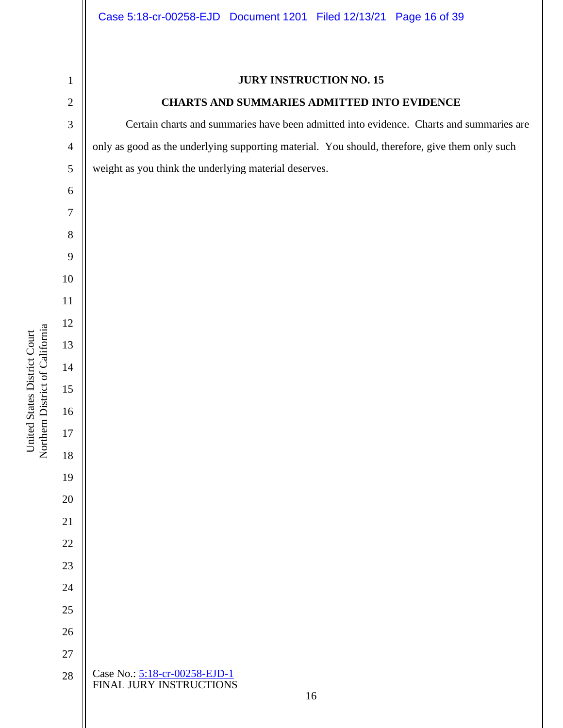United States District Court

### **JURY INSTRUCTION NO. 15**

### **CHARTS AND SUMMARIES ADMITTED INTO EVIDENCE**

Certain charts and summaries have been admitted into evidence. Charts and summaries are only as good as the underlying supporting material. You should, therefore, give them only such weight as you think the underlying material deserves.

Case No.: [5:18-cr-00258-EJD-1](https://ecf.cand.uscourts.gov/cgi-bin/DktRpt.pl?327949) FINAL JURY INSTRUCTIONS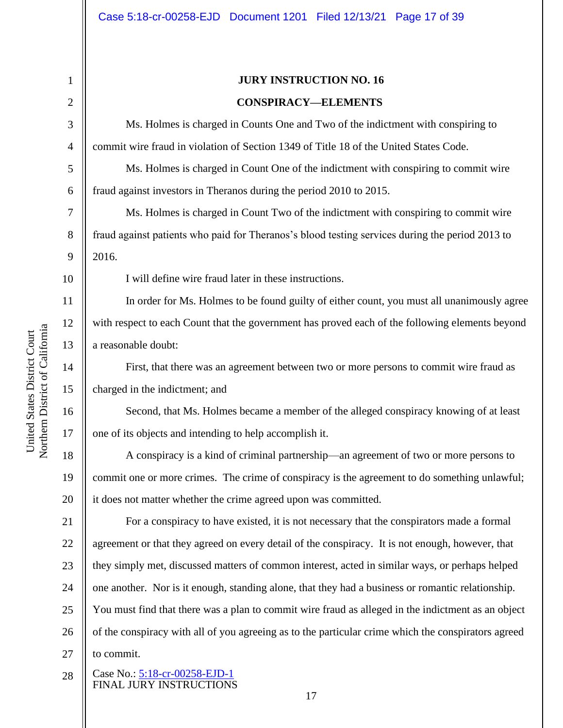2

3

4

5

6

7

8

9

16

United States District Court

Northern District of California United States District Court

17

18

19

20

# **JURY INSTRUCTION NO. 16 CONSPIRACY—ELEMENTS**

Ms. Holmes is charged in Counts One and Two of the indictment with conspiring to commit wire fraud in violation of Section 1349 of Title 18 of the United States Code.

Ms. Holmes is charged in Count One of the indictment with conspiring to commit wire fraud against investors in Theranos during the period 2010 to 2015.

Ms. Holmes is charged in Count Two of the indictment with conspiring to commit wire fraud against patients who paid for Theranos's blood testing services during the period 2013 to 2016.

I will define wire fraud later in these instructions.

In order for Ms. Holmes to be found guilty of either count, you must all unanimously agree with respect to each Count that the government has proved each of the following elements beyond a reasonable doubt:

First, that there was an agreement between two or more persons to commit wire fraud as charged in the indictment; and

Second, that Ms. Holmes became a member of the alleged conspiracy knowing of at least one of its objects and intending to help accomplish it.

A conspiracy is a kind of criminal partnership—an agreement of two or more persons to commit one or more crimes. The crime of conspiracy is the agreement to do something unlawful; it does not matter whether the crime agreed upon was committed.

21 22 23 24 25 26 27 For a conspiracy to have existed, it is not necessary that the conspirators made a formal agreement or that they agreed on every detail of the conspiracy. It is not enough, however, that they simply met, discussed matters of common interest, acted in similar ways, or perhaps helped one another. Nor is it enough, standing alone, that they had a business or romantic relationship. You must find that there was a plan to commit wire fraud as alleged in the indictment as an object of the conspiracy with all of you agreeing as to the particular crime which the conspirators agreed to commit.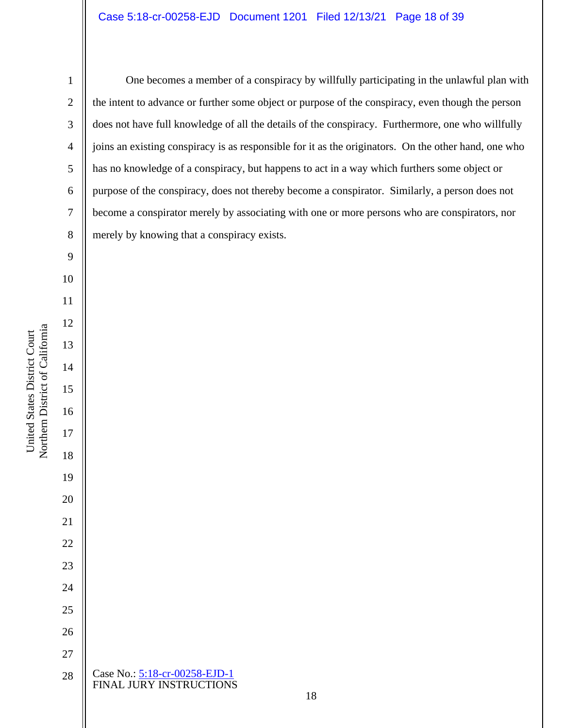One becomes a member of a conspiracy by willfully participating in the unlawful plan with the intent to advance or further some object or purpose of the conspiracy, even though the person does not have full knowledge of all the details of the conspiracy. Furthermore, one who willfully joins an existing conspiracy is as responsible for it as the originators. On the other hand, one who has no knowledge of a conspiracy, but happens to act in a way which furthers some object or purpose of the conspiracy, does not thereby become a conspirator. Similarly, a person does not become a conspirator merely by associating with one or more persons who are conspirators, nor merely by knowing that a conspiracy exists.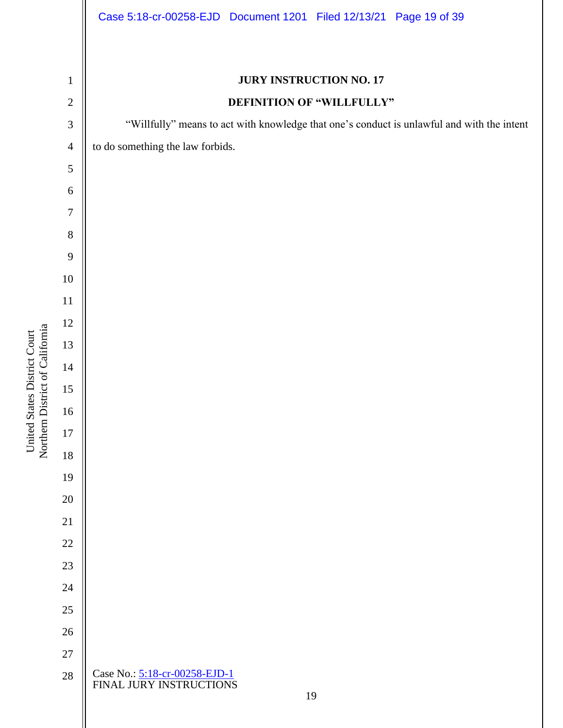| $\mathbf{1}$   | <b>JURY INSTRUCTION NO. 17</b>                                                             |
|----------------|--------------------------------------------------------------------------------------------|
| $\sqrt{2}$     | DEFINITION OF "WILLFULLY"                                                                  |
| 3              | "Willfully" means to act with knowledge that one's conduct is unlawful and with the intent |
| $\overline{4}$ | to do something the law forbids.                                                           |
| 5              |                                                                                            |
| 6              |                                                                                            |
| $\tau$         |                                                                                            |
| $8\,$          |                                                                                            |
| 9              |                                                                                            |
| $10\,$         |                                                                                            |
| $11\,$         |                                                                                            |
| 12             |                                                                                            |
| 13             |                                                                                            |
| $14\,$         |                                                                                            |
| 15             |                                                                                            |
| $16\,$         |                                                                                            |
| $17\,$         |                                                                                            |
| $18\,$         |                                                                                            |
| 19             |                                                                                            |
| $20\,$         |                                                                                            |
| $21\,$         |                                                                                            |
| $22\,$         |                                                                                            |
| 23             |                                                                                            |
| 24             |                                                                                            |
| 25             |                                                                                            |
| 26             |                                                                                            |
| $27\,$         |                                                                                            |
| $28\,$         | Case No.: 5:18-cr-00258-EJD-1<br>FINAL JURY INSTRUCTIONS<br>19                             |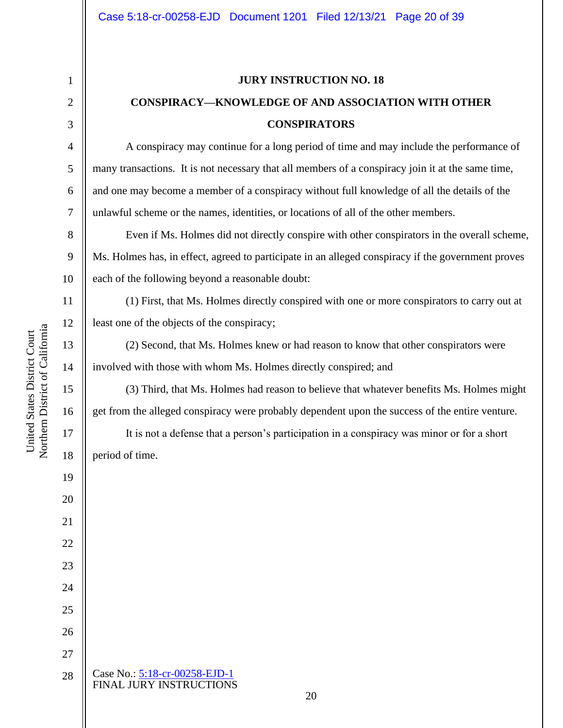### **JURY INSTRUCTION NO. 18**

# **CONSPIRACY—KNOWLEDGE OF AND ASSOCIATION WITH OTHER CONSPIRATORS**

A conspiracy may continue for a long period of time and may include the performance of many transactions. It is not necessary that all members of a conspiracy join it at the same time, and one may become a member of a conspiracy without full knowledge of all the details of the unlawful scheme or the names, identities, or locations of all of the other members.

Even if Ms. Holmes did not directly conspire with other conspirators in the overall scheme, Ms. Holmes has, in effect, agreed to participate in an alleged conspiracy if the government proves each of the following beyond a reasonable doubt:

(1) First, that Ms. Holmes directly conspired with one or more conspirators to carry out at least one of the objects of the conspiracy;

(2) Second, that Ms. Holmes knew or had reason to know that other conspirators were involved with those with whom Ms. Holmes directly conspired; and

(3) Third, that Ms. Holmes had reason to believe that whatever benefits Ms. Holmes might get from the alleged conspiracy were probably dependent upon the success of the entire venture.

It is not a defense that a person's participation in a conspiracy was minor or for a short period of time.

1

2

3

4

5

6

7

8

9

10

11

12

13

14

15

16

17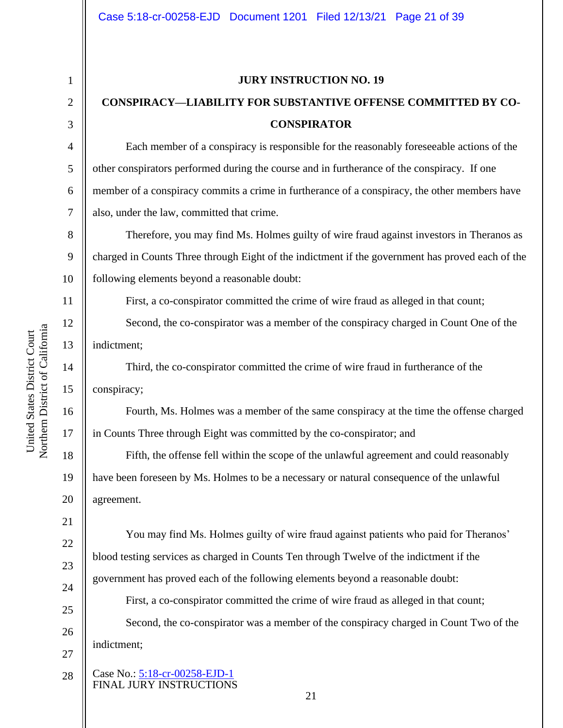4

5

6

7

11

12

13

14

15

16

17

18

19

20

21

22

23

24

25

26

27

#### **JURY INSTRUCTION NO. 19**

# **CONSPIRACY—LIABILITY FOR SUBSTANTIVE OFFENSE COMMITTED BY CO-CONSPIRATOR**

Each member of a conspiracy is responsible for the reasonably foreseeable actions of the other conspirators performed during the course and in furtherance of the conspiracy. If one member of a conspiracy commits a crime in furtherance of a conspiracy, the other members have also, under the law, committed that crime.

8 9 10 Therefore, you may find Ms. Holmes guilty of wire fraud against investors in Theranos as charged in Counts Three through Eight of the indictment if the government has proved each of the following elements beyond a reasonable doubt:

First, a co-conspirator committed the crime of wire fraud as alleged in that count;

Second, the co-conspirator was a member of the conspiracy charged in Count One of the indictment;

Third, the co-conspirator committed the crime of wire fraud in furtherance of the conspiracy;

Fourth, Ms. Holmes was a member of the same conspiracy at the time the offense charged in Counts Three through Eight was committed by the co-conspirator; and

Fifth, the offense fell within the scope of the unlawful agreement and could reasonably have been foreseen by Ms. Holmes to be a necessary or natural consequence of the unlawful agreement.

You may find Ms. Holmes guilty of wire fraud against patients who paid for Theranos' blood testing services as charged in Counts Ten through Twelve of the indictment if the government has proved each of the following elements beyond a reasonable doubt:

First, a co-conspirator committed the crime of wire fraud as alleged in that count;

Second, the co-conspirator was a member of the conspiracy charged in Count Two of the indictment;

Case No.: [5:18-cr-00258-EJD-1](https://ecf.cand.uscourts.gov/cgi-bin/DktRpt.pl?327949) FINAL JURY INSTRUCTIONS 28

Northern District of California Northern District of California United States District Court United States District Court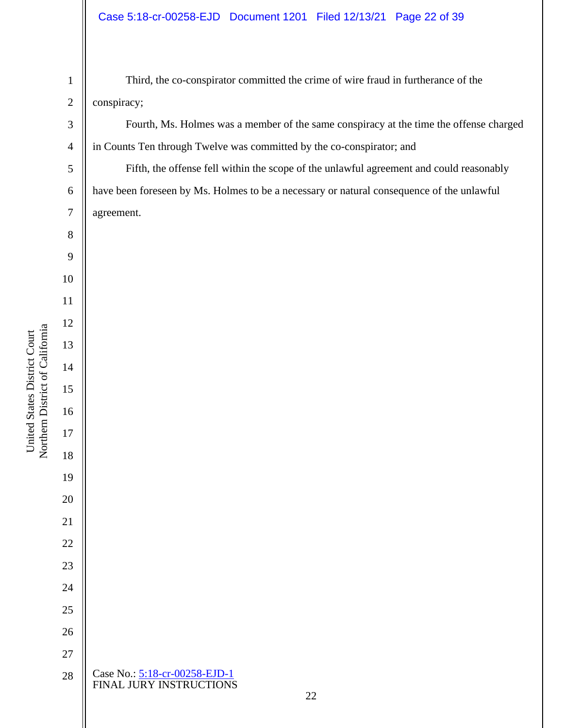### Case 5:18-cr-00258-EJD Document 1201 Filed 12/13/21 Page 22 of 39

Third, the co-conspirator committed the crime of wire fraud in furtherance of the conspiracy;

Fourth, Ms. Holmes was a member of the same conspiracy at the time the offense charged in Counts Ten through Twelve was committed by the co-conspirator; and

Fifth, the offense fell within the scope of the unlawful agreement and could reasonably have been foreseen by Ms. Holmes to be a necessary or natural consequence of the unlawful agreement.

| Case No.: 5:18-cr-00258-EJD-1<br>FINAL JURY INSTRUCTIONS |  |
|----------------------------------------------------------|--|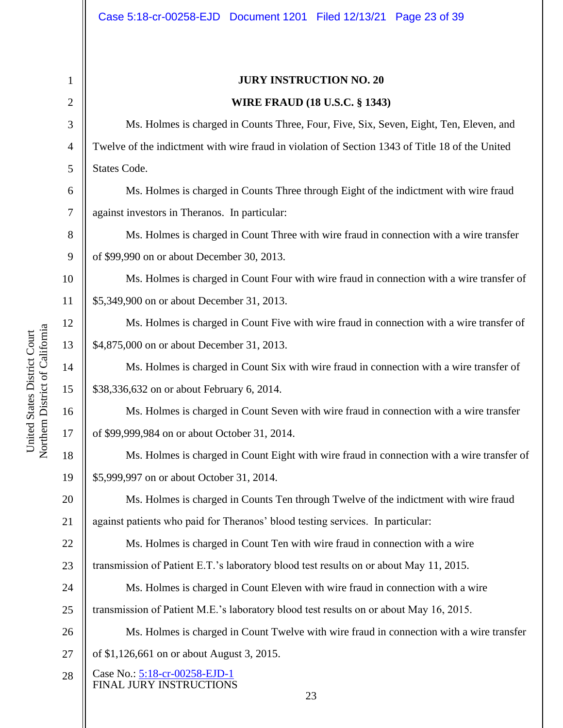United States District Court

1

2

3

4

5

6

7

8

9

22

### **JURY INSTRUCTION NO. 20**

### **WIRE FRAUD (18 U.S.C. § 1343)**

Ms. Holmes is charged in Counts Three, Four, Five, Six, Seven, Eight, Ten, Eleven, and Twelve of the indictment with wire fraud in violation of Section 1343 of Title 18 of the United States Code.

Ms. Holmes is charged in Counts Three through Eight of the indictment with wire fraud against investors in Theranos. In particular:

Ms. Holmes is charged in Count Three with wire fraud in connection with a wire transfer of \$99,990 on or about December 30, 2013.

10 11 Ms. Holmes is charged in Count Four with wire fraud in connection with a wire transfer of \$5,349,900 on or about December 31, 2013.

Ms. Holmes is charged in Count Five with wire fraud in connection with a wire transfer of \$4,875,000 on or about December 31, 2013.

Ms. Holmes is charged in Count Six with wire fraud in connection with a wire transfer of \$38,336,632 on or about February 6, 2014.

Ms. Holmes is charged in Count Seven with wire fraud in connection with a wire transfer of \$99,999,984 on or about October 31, 2014.

18 19 Ms. Holmes is charged in Count Eight with wire fraud in connection with a wire transfer of \$5,999,997 on or about October 31, 2014.

20 21 Ms. Holmes is charged in Counts Ten through Twelve of the indictment with wire fraud against patients who paid for Theranos' blood testing services. In particular:

Ms. Holmes is charged in Count Ten with wire fraud in connection with a wire

23 transmission of Patient E.T.'s laboratory blood test results on or about May 11, 2015.

24 25 Ms. Holmes is charged in Count Eleven with wire fraud in connection with a wire transmission of Patient M.E.'s laboratory blood test results on or about May 16, 2015.

26 27 Ms. Holmes is charged in Count Twelve with wire fraud in connection with a wire transfer of \$1,126,661 on or about August 3, 2015.

Case No.: [5:18-cr-00258-EJD-1](https://ecf.cand.uscourts.gov/cgi-bin/DktRpt.pl?327949) FINAL JURY INSTRUCTIONS 28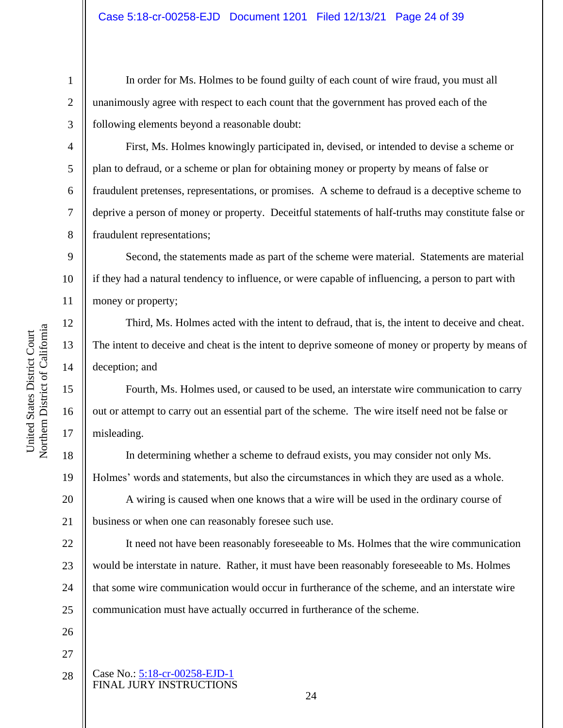In order for Ms. Holmes to be found guilty of each count of wire fraud, you must all unanimously agree with respect to each count that the government has proved each of the following elements beyond a reasonable doubt:

First, Ms. Holmes knowingly participated in, devised, or intended to devise a scheme or plan to defraud, or a scheme or plan for obtaining money or property by means of false or fraudulent pretenses, representations, or promises. A scheme to defraud is a deceptive scheme to deprive a person of money or property. Deceitful statements of half-truths may constitute false or fraudulent representations;

9 10 11 Second, the statements made as part of the scheme were material. Statements are material if they had a natural tendency to influence, or were capable of influencing, a person to part with money or property;

Third, Ms. Holmes acted with the intent to defraud, that is, the intent to deceive and cheat. The intent to deceive and cheat is the intent to deprive someone of money or property by means of deception; and

Fourth, Ms. Holmes used, or caused to be used, an interstate wire communication to carry out or attempt to carry out an essential part of the scheme. The wire itself need not be false or misleading.

In determining whether a scheme to defraud exists, you may consider not only Ms. Holmes' words and statements, but also the circumstances in which they are used as a whole.

A wiring is caused when one knows that a wire will be used in the ordinary course of business or when one can reasonably foresee such use.

22 23 24 25 It need not have been reasonably foreseeable to Ms. Holmes that the wire communication would be interstate in nature. Rather, it must have been reasonably foreseeable to Ms. Holmes that some wire communication would occur in furtherance of the scheme, and an interstate wire communication must have actually occurred in furtherance of the scheme.

- 26 27
- Case No.: [5:18-cr-00258-EJD-1](https://ecf.cand.uscourts.gov/cgi-bin/DktRpt.pl?327949) FINAL JURY INSTRUCTIONS 28

Northern District of California Northern District of California United States District Court United States District Court

1

2

3

4

5

6

7

8

12

13

14

15

16

17

18

19

20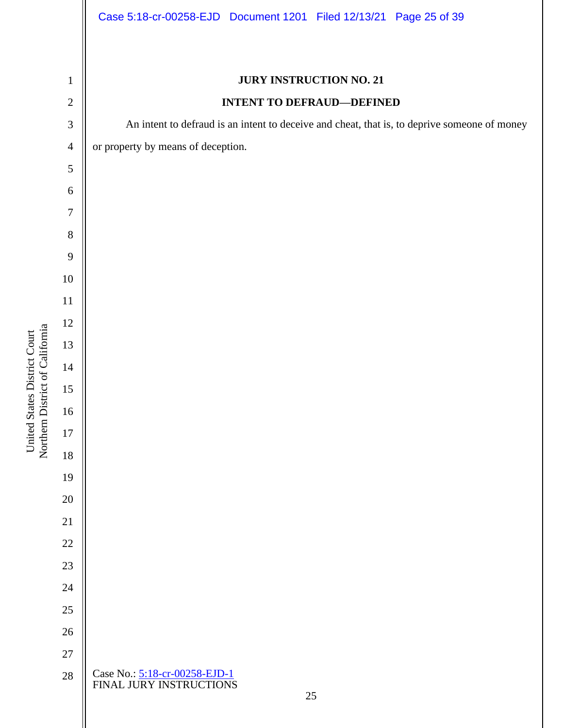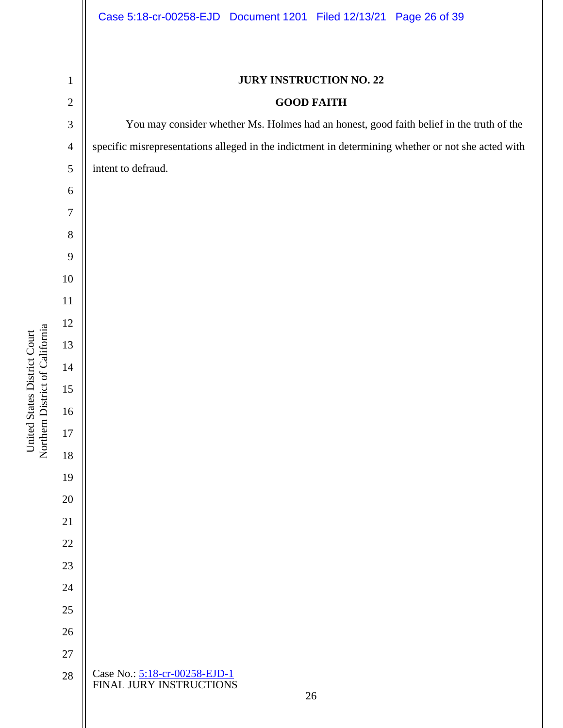# **JURY INSTRUCTION NO. 22 GOOD FAITH** You may consider whether Ms. Holmes had an honest, good faith belief in the truth of the specific misrepresentations alleged in the indictment in determining whether or not she acted with intent to defraud. Northern District of California Northern District of California United States District Court United States District Court Case No.: [5:18-cr-00258-EJD-1](https://ecf.cand.uscourts.gov/cgi-bin/DktRpt.pl?327949) FINAL JURY INSTRUCTIONS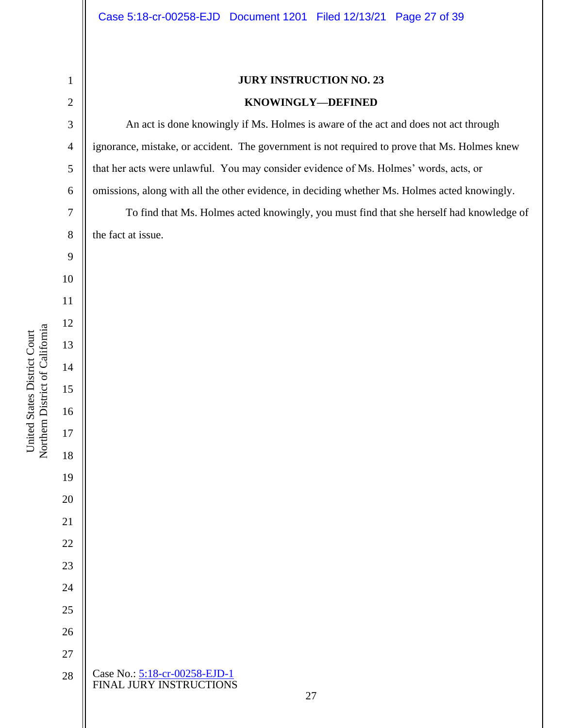An act is done knowingly if Ms. Holmes is aware of the act and does not act through olmes knew that her acts were unlawful. You may consider evidence of Ms. Holmes' words, acts, or knowingly.

knowledge of the fact at issue.

|                                 | $\overline{4}$ | ignorance, mistake, or accident. The government is not required to prove that Ms. Ho |
|---------------------------------|----------------|--------------------------------------------------------------------------------------|
|                                 | $\sqrt{5}$     | that her acts were unlawful. You may consider evidence of Ms. Holmes' words, acts    |
|                                 | 6              | omissions, along with all the other evidence, in deciding whether Ms. Holmes acted k |
|                                 | $\tau$         | To find that Ms. Holmes acted knowingly, you must find that she herself had          |
|                                 | $8\,$          | the fact at issue.                                                                   |
|                                 | 9              |                                                                                      |
|                                 | 10             |                                                                                      |
|                                 | 11             |                                                                                      |
|                                 | 12             |                                                                                      |
|                                 | 13             |                                                                                      |
|                                 | 14             |                                                                                      |
| Northern District of California | 15             |                                                                                      |
|                                 | 16             |                                                                                      |
|                                 | 17             |                                                                                      |
|                                 | 18             |                                                                                      |
|                                 | 19             |                                                                                      |
|                                 | 20             |                                                                                      |
|                                 | 21             |                                                                                      |
|                                 | 22             |                                                                                      |
|                                 | 23             |                                                                                      |
|                                 | 24             |                                                                                      |
|                                 | 25             |                                                                                      |
|                                 | 26             |                                                                                      |
|                                 | 27             |                                                                                      |
|                                 | 28             | Case No.: 5:18-cr-00258-EJD-1<br>FINAL JURY INSTRUCTIONS<br>27                       |
|                                 |                |                                                                                      |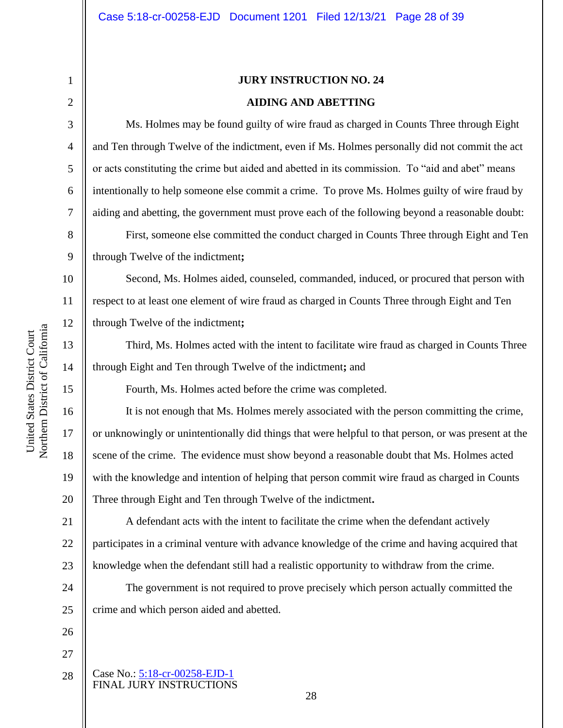# **JURY INSTRUCTION NO. 24 AIDING AND ABETTING**

Ms. Holmes may be found guilty of wire fraud as charged in Counts Three through Eight and Ten through Twelve of the indictment, even if Ms. Holmes personally did not commit the act or acts constituting the crime but aided and abetted in its commission. To "aid and abet" means intentionally to help someone else commit a crime. To prove Ms. Holmes guilty of wire fraud by aiding and abetting, the government must prove each of the following beyond a reasonable doubt:

First, someone else committed the conduct charged in Counts Three through Eight and Ten through Twelve of the indictment**;**

Second, Ms. Holmes aided, counseled, commanded, induced, or procured that person with respect to at least one element of wire fraud as charged in Counts Three through Eight and Ten through Twelve of the indictment**;** 

Third, Ms. Holmes acted with the intent to facilitate wire fraud as charged in Counts Three through Eight and Ten through Twelve of the indictment**;** and

Fourth, Ms. Holmes acted before the crime was completed.

It is not enough that Ms. Holmes merely associated with the person committing the crime, or unknowingly or unintentionally did things that were helpful to that person, or was present at the scene of the crime. The evidence must show beyond a reasonable doubt that Ms. Holmes acted with the knowledge and intention of helping that person commit wire fraud as charged in Counts Three through Eight and Ten through Twelve of the indictment**.**

21 22 23 A defendant acts with the intent to facilitate the crime when the defendant actively participates in a criminal venture with advance knowledge of the crime and having acquired that knowledge when the defendant still had a realistic opportunity to withdraw from the crime.

24 25 The government is not required to prove precisely which person actually committed the crime and which person aided and abetted.

28

26

27

Case No.: [5:18-cr-00258-EJD-1](https://ecf.cand.uscourts.gov/cgi-bin/DktRpt.pl?327949) FINAL JURY INSTRUCTIONS 28

Northern District of California Northern District of California United States District Court United States District Court

1

2

3

4

5

6

7

8

9

10

11

12

13

14

15

16

17

18

19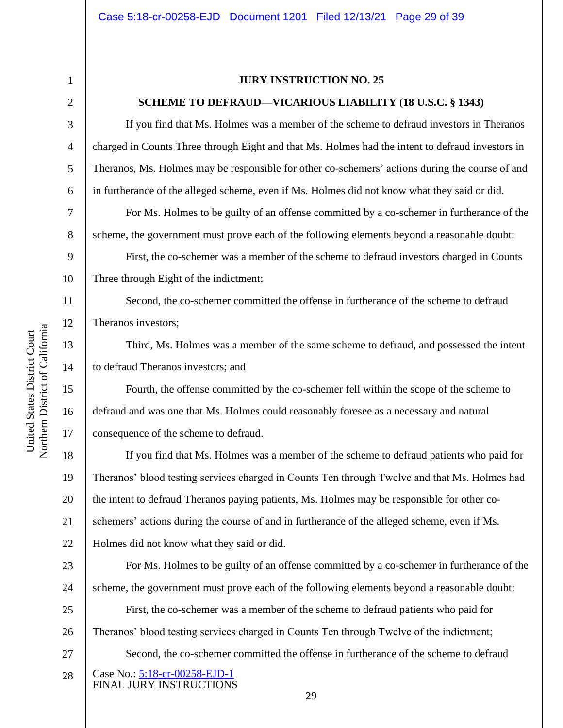5

6

7

8

9

10

11

12

13

14

15

16

17

### **JURY INSTRUCTION NO. 25**

#### **SCHEME TO DEFRAUD—VICARIOUS LIABILITY** (**18 U.S.C. § 1343)**

If you find that Ms. Holmes was a member of the scheme to defraud investors in Theranos charged in Counts Three through Eight and that Ms. Holmes had the intent to defraud investors in Theranos, Ms. Holmes may be responsible for other co-schemers' actions during the course of and in furtherance of the alleged scheme, even if Ms. Holmes did not know what they said or did.

For Ms. Holmes to be guilty of an offense committed by a co-schemer in furtherance of the scheme, the government must prove each of the following elements beyond a reasonable doubt:

First, the co-schemer was a member of the scheme to defraud investors charged in Counts Three through Eight of the indictment;

Second, the co-schemer committed the offense in furtherance of the scheme to defraud Theranos investors;

Third, Ms. Holmes was a member of the same scheme to defraud, and possessed the intent to defraud Theranos investors; and

Fourth, the offense committed by the co-schemer fell within the scope of the scheme to defraud and was one that Ms. Holmes could reasonably foresee as a necessary and natural consequence of the scheme to defraud.

18 19 20 21 22 If you find that Ms. Holmes was a member of the scheme to defraud patients who paid for Theranos' blood testing services charged in Counts Ten through Twelve and that Ms. Holmes had the intent to defraud Theranos paying patients, Ms. Holmes may be responsible for other coschemers' actions during the course of and in furtherance of the alleged scheme, even if Ms. Holmes did not know what they said or did.

23 24 25 26 27 For Ms. Holmes to be guilty of an offense committed by a co-schemer in furtherance of the scheme, the government must prove each of the following elements beyond a reasonable doubt: First, the co-schemer was a member of the scheme to defraud patients who paid for Theranos' blood testing services charged in Counts Ten through Twelve of the indictment; Second, the co-schemer committed the offense in furtherance of the scheme to defraud

Case No.: [5:18-cr-00258-EJD-1](https://ecf.cand.uscourts.gov/cgi-bin/DktRpt.pl?327949) FINAL JURY INSTRUCTIONS 28

Northern District of California Northern District of California United States District Court United States District Court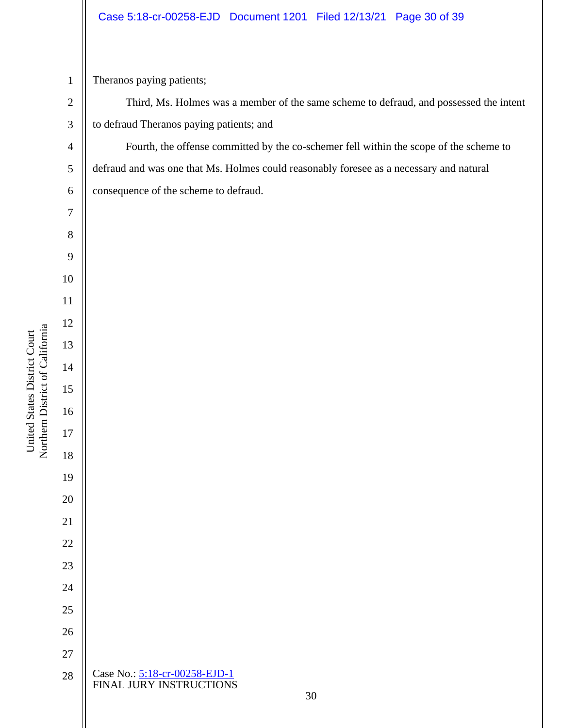### Case 5:18-cr-00258-EJD Document 1201 Filed 12/13/21 Page 30 of 39

Theranos paying patients;

Third, Ms. Holmes was a member of the same scheme to defraud, and possessed the intent to defraud Theranos paying patients; and

Fourth, the offense committed by the co-schemer fell within the scope of the scheme to defraud and was one that Ms. Holmes could reasonably foresee as a necessary and natural consequence of the scheme to defraud.

|                                 | 8         |                                                          |  |
|---------------------------------|-----------|----------------------------------------------------------|--|
|                                 | 9         |                                                          |  |
|                                 | $10\,$    |                                                          |  |
|                                 | 11        |                                                          |  |
|                                 | 12        |                                                          |  |
|                                 | 13        |                                                          |  |
|                                 | 14        |                                                          |  |
| Northern District of California | 15        |                                                          |  |
|                                 | 16        |                                                          |  |
|                                 | 17        |                                                          |  |
|                                 | 18        |                                                          |  |
|                                 | 19        |                                                          |  |
|                                 | <b>20</b> |                                                          |  |
|                                 | 21        |                                                          |  |
|                                 | 22        |                                                          |  |
|                                 | 23        |                                                          |  |
|                                 | 24        |                                                          |  |
|                                 | 25        |                                                          |  |
|                                 | 26        |                                                          |  |
|                                 | 27        |                                                          |  |
|                                 | 28        | Case No.: 5:18-cr-00258-EJD-1<br>FINAL JURY INSTRUCTIONS |  |
|                                 |           | 30                                                       |  |
|                                 |           |                                                          |  |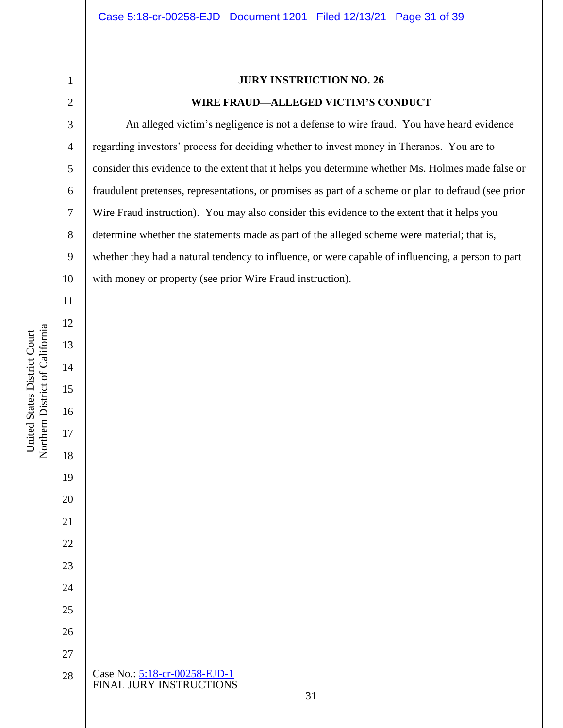### **JURY INSTRUCTION NO. 26**

### **WIRE FRAUD—ALLEGED VICTIM'S CONDUCT**

An alleged victim's negligence is not a defense to wire fraud. You have heard evidence regarding investors' process for deciding whether to invest money in Theranos. You are to consider this evidence to the extent that it helps you determine whether Ms. Holmes made false or fraudulent pretenses, representations, or promises as part of a scheme or plan to defraud (see prior Wire Fraud instruction). You may also consider this evidence to the extent that it helps you determine whether the statements made as part of the alleged scheme were material; that is, whether they had a natural tendency to influence, or were capable of influencing, a person to part with money or property (see prior Wire Fraud instruction).

Northern District of California Northern District of California United States District Court United States District Court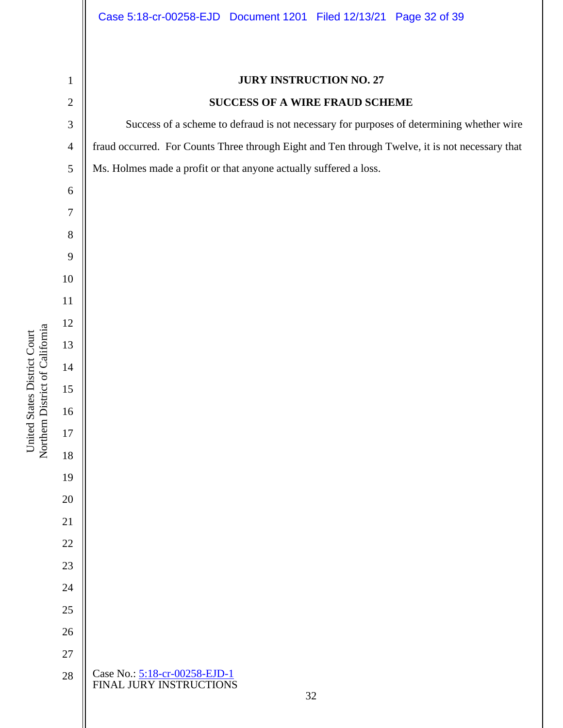**JURY INSTRUCTION NO. 27 SUCCESS OF A WIRE FRAUD SCHEME** Success of a scheme to defraud is not necessary for purposes of determining whether wire fraud occurred. For Counts Three through Eight and Ten through Twelve, it is not necessary that Ms. Holmes made a profit or that anyone actually suffered a loss. Northern District of California Northern District of California Case No.: [5:18-cr-00258-EJD-1](https://ecf.cand.uscourts.gov/cgi-bin/DktRpt.pl?327949) FINAL JURY INSTRUCTIONS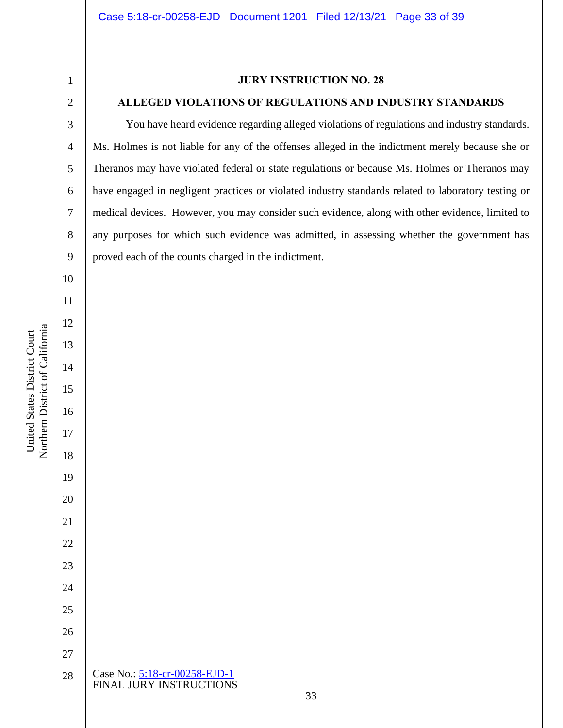### **JURY INSTRUCTION NO. 28**

### **ALLEGED VIOLATIONS OF REGULATIONS AND INDUSTRY STANDARDS**

You have heard evidence regarding alleged violations of regulations and industry standards. Ms. Holmes is not liable for any of the offenses alleged in the indictment merely because she or Theranos may have violated federal or state regulations or because Ms. Holmes or Theranos may have engaged in negligent practices or violated industry standards related to laboratory testing or medical devices. However, you may consider such evidence, along with other evidence, limited to any purposes for which such evidence was admitted, in assessing whether the government has proved each of the counts charged in the indictment.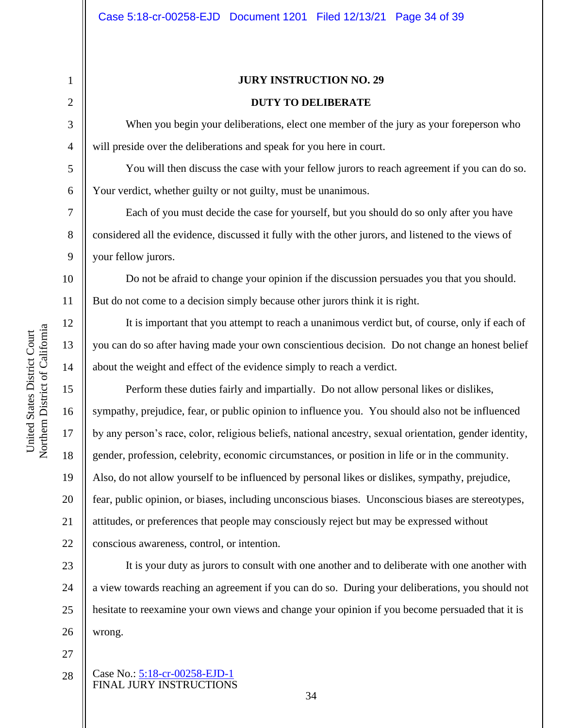13

14

15

16

17

18

19

20

21

22

# **JURY INSTRUCTION NO. 29 DUTY TO DELIBERATE**

When you begin your deliberations, elect one member of the jury as your foreperson who will preside over the deliberations and speak for you here in court.

You will then discuss the case with your fellow jurors to reach agreement if you can do so. Your verdict, whether guilty or not guilty, must be unanimous.

Each of you must decide the case for yourself, but you should do so only after you have considered all the evidence, discussed it fully with the other jurors, and listened to the views of your fellow jurors.

Do not be afraid to change your opinion if the discussion persuades you that you should. But do not come to a decision simply because other jurors think it is right.

It is important that you attempt to reach a unanimous verdict but, of course, only if each of you can do so after having made your own conscientious decision. Do not change an honest belief about the weight and effect of the evidence simply to reach a verdict.

Perform these duties fairly and impartially. Do not allow personal likes or dislikes, sympathy, prejudice, fear, or public opinion to influence you. You should also not be influenced by any person's race, color, religious beliefs, national ancestry, sexual orientation, gender identity, gender, profession, celebrity, economic circumstances, or position in life or in the community. Also, do not allow yourself to be influenced by personal likes or dislikes, sympathy, prejudice, fear, public opinion, or biases, including unconscious biases. Unconscious biases are stereotypes, attitudes, or preferences that people may consciously reject but may be expressed without conscious awareness, control, or intention.

23 24 25 26 It is your duty as jurors to consult with one another and to deliberate with one another with a view towards reaching an agreement if you can do so. During your deliberations, you should not hesitate to reexamine your own views and change your opinion if you become persuaded that it is wrong.

- 27
- Case No.: [5:18-cr-00258-EJD-1](https://ecf.cand.uscourts.gov/cgi-bin/DktRpt.pl?327949) FINAL JURY INSTRUCTIONS 28

Northern District of California Northern District of California United States District Court United States District Court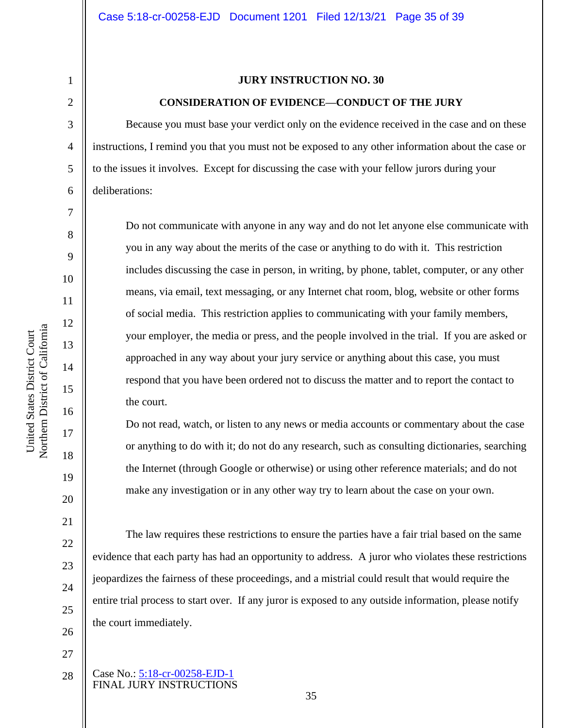11

12

13

14

15

16

17

18

19

20

21

22

23

24

25

26

27

### **JURY INSTRUCTION NO. 30**

#### **CONSIDERATION OF EVIDENCE—CONDUCT OF THE JURY**

Because you must base your verdict only on the evidence received in the case and on these instructions, I remind you that you must not be exposed to any other information about the case or to the issues it involves. Except for discussing the case with your fellow jurors during your deliberations:

Do not communicate with anyone in any way and do not let anyone else communicate with you in any way about the merits of the case or anything to do with it. This restriction includes discussing the case in person, in writing, by phone, tablet, computer, or any other means, via email, text messaging, or any Internet chat room, blog, website or other forms of social media. This restriction applies to communicating with your family members, your employer, the media or press, and the people involved in the trial. If you are asked or approached in any way about your jury service or anything about this case, you must respond that you have been ordered not to discuss the matter and to report the contact to the court.

Do not read, watch, or listen to any news or media accounts or commentary about the case or anything to do with it; do not do any research, such as consulting dictionaries, searching the Internet (through Google or otherwise) or using other reference materials; and do not make any investigation or in any other way try to learn about the case on your own.

The law requires these restrictions to ensure the parties have a fair trial based on the same evidence that each party has had an opportunity to address. A juror who violates these restrictions jeopardizes the fairness of these proceedings, and a mistrial could result that would require the entire trial process to start over. If any juror is exposed to any outside information, please notify the court immediately.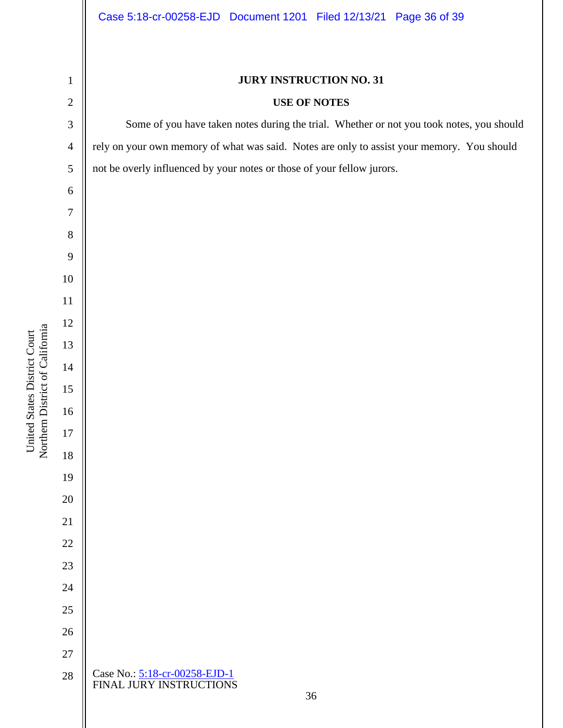### **JURY INSTRUCTION NO. 31**

### **USE OF NOTES**

Some of you have taken notes during the trial. Whether or not you took notes, you should rely on your own memory of what was said. Notes are only to assist your memory. You should not be overly influenced by your notes or those of your fellow jurors.

Northern District of California Northern District of California United States District Court United States District Court

Case No.: [5:18-cr-00258-EJD-1](https://ecf.cand.uscourts.gov/cgi-bin/DktRpt.pl?327949) FINAL JURY INSTRUCTIONS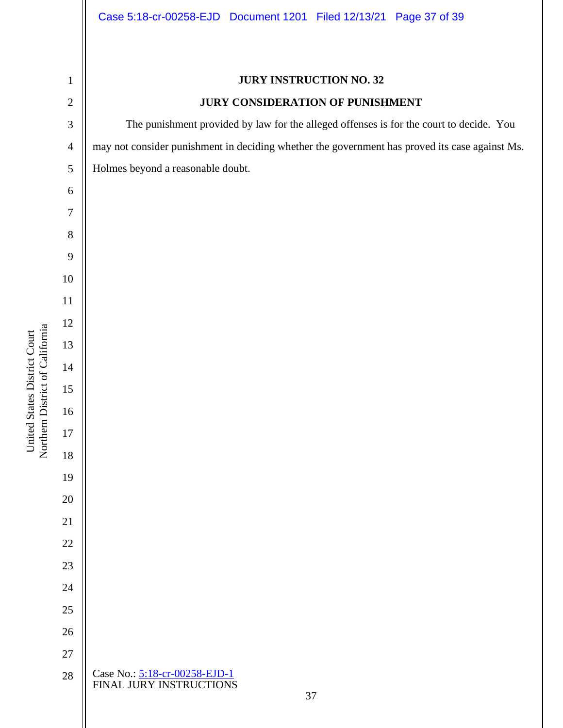**JURY INSTRUCTION NO. 32 JURY CONSIDERATION OF PUNISHMENT** The punishment provided by law for the alleged offenses is for the court to decide. You may not consider punishment in deciding whether the government has proved its case against Ms. Holmes beyond a reasonable doubt. Northern District of California Northern District of California United States District Court United States District Court Case No.: [5:18-cr-00258-EJD-1](https://ecf.cand.uscourts.gov/cgi-bin/DktRpt.pl?327949) FINAL JURY INSTRUCTIONS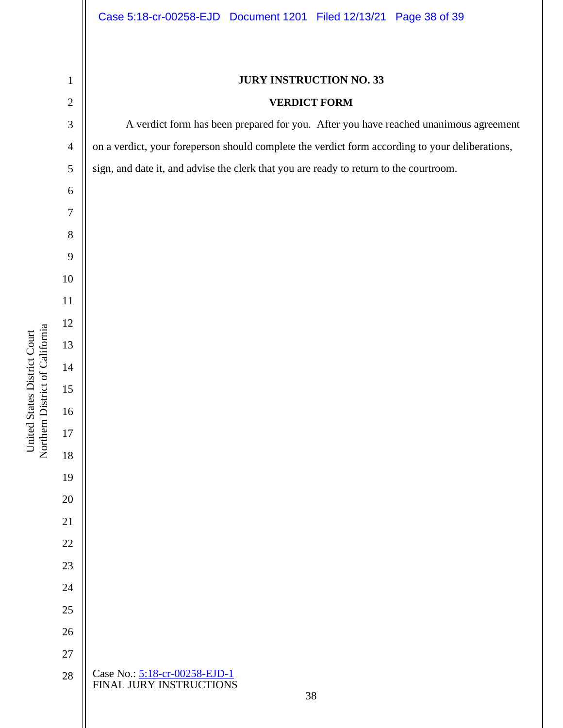United States District Court

Northern District of California United States District Court

# **JURY INSTRUCTION NO. 33**

# **VERDICT FORM**

A verdict form has been prepared for you. After you have reached unanimous agreement on a verdict, your foreperson should complete the verdict form according to your deliberations, sign, and date it, and advise the clerk that you are ready to return to the courtroom.

Case No.: [5:18-cr-00258-EJD-1](https://ecf.cand.uscourts.gov/cgi-bin/DktRpt.pl?327949) FINAL JURY INSTRUCTIONS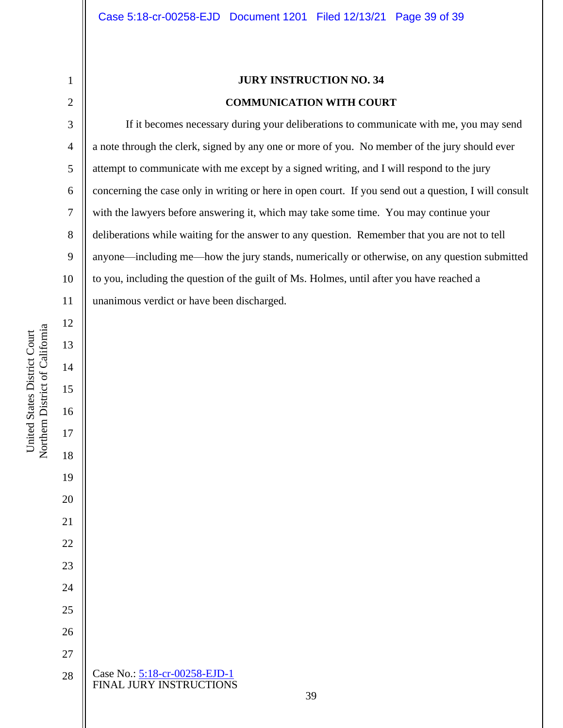# **JURY INSTRUCTION NO. 34 COMMUNICATION WITH COURT**

If it becomes necessary during your deliberations to communicate with me, you may send a note through the clerk, signed by any one or more of you. No member of the jury should ever attempt to communicate with me except by a signed writing, and I will respond to the jury concerning the case only in writing or here in open court. If you send out a question, I will consult with the lawyers before answering it, which may take some time. You may continue your deliberations while waiting for the answer to any question. Remember that you are not to tell anyone—including me—how the jury stands, numerically or otherwise, on any question submitted to you, including the question of the guilt of Ms. Holmes, until after you have reached a unanimous verdict or have been discharged.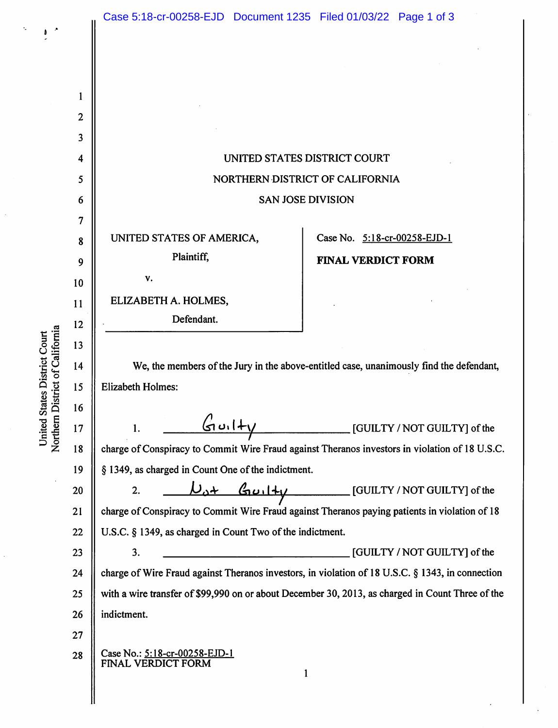$\pmb{b}$ 

United States District Court<br>Northern District of California

| 1                       |                                                                                                  |
|-------------------------|--------------------------------------------------------------------------------------------------|
| $\overline{\mathbf{c}}$ |                                                                                                  |
| 3                       |                                                                                                  |
| 4                       | UNITED STATES DISTRICT COURT                                                                     |
| 5                       | NORTHERN DISTRICT OF CALIFORNIA                                                                  |
| 6                       | <b>SAN JOSE DIVISION</b>                                                                         |
| 7                       |                                                                                                  |
| 8                       | UNITED STATES OF AMERICA,<br>Case No. 5:18-cr-00258-EJD-1                                        |
| 9                       | Plaintiff,<br><b>FINAL VERDICT FORM</b>                                                          |
| 10                      | v.                                                                                               |
| 11                      | ELIZABETH A. HOLMES,                                                                             |
| 12                      | Defendant.                                                                                       |
| 13                      |                                                                                                  |
| 14                      | We, the members of the Jury in the above-entitled case, unanimously find the defendant,          |
| 15                      | <b>Elizabeth Holmes:</b>                                                                         |
| 16                      |                                                                                                  |
| 17                      | $G$ uil $+$<br>[GUILTY / NOT GUILTY] of the<br>1.                                                |
| 18                      | charge of Conspiracy to Commit Wire Fraud against Theranos investors in violation of 18 U.S.C.   |
| 19                      | § 1349, as charged in Count One of the indictment.                                               |
| 20                      | $D_{0} +$ Guilty<br>[GUILTY / NOT GUILTY] of the<br>2.                                           |
| 21                      | charge of Conspiracy to Commit Wire Fraud against Theranos paying patients in violation of 18    |
| 22                      | U.S.C. § 1349, as charged in Count Two of the indictment.                                        |
| 23                      | 3.<br>[GUILTY / NOT GUILTY] of the                                                               |
| 24                      | charge of Wire Fraud against Theranos investors, in violation of 18 U.S.C. § 1343, in connection |
| 25                      | with a wire transfer of \$99,990 on or about December 30, 2013, as charged in Count Three of the |
| 26                      | indictment.                                                                                      |
| 27                      |                                                                                                  |
| 28                      | Case No.: 5:18-cr-00258-EJD-1<br>FINAL VERDICT FORM                                              |
|                         | 1                                                                                                |
|                         |                                                                                                  |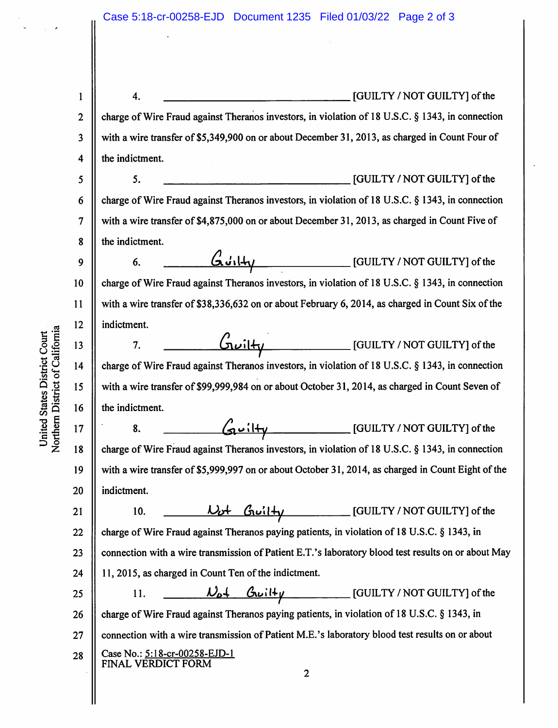| 1            | <u> 1980 - Johann Barn, mars eta inperiodo</u><br>[GUILTY / NOT GUILTY] of the<br>4.                                                                                                                                                                                                                                                                                                                                                                                                   |
|--------------|----------------------------------------------------------------------------------------------------------------------------------------------------------------------------------------------------------------------------------------------------------------------------------------------------------------------------------------------------------------------------------------------------------------------------------------------------------------------------------------|
| $\mathbf{2}$ | charge of Wire Fraud against Theranos investors, in violation of 18 U.S.C. § 1343, in connection                                                                                                                                                                                                                                                                                                                                                                                       |
| 3            | with a wire transfer of \$5,349,900 on or about December 31, 2013, as charged in Count Four of                                                                                                                                                                                                                                                                                                                                                                                         |
| 4            | the indictment.                                                                                                                                                                                                                                                                                                                                                                                                                                                                        |
| 5            | [GUILTY / NOT GUILTY] of the<br>5.                                                                                                                                                                                                                                                                                                                                                                                                                                                     |
| 6            | charge of Wire Fraud against Theranos investors, in violation of 18 U.S.C. § 1343, in connection                                                                                                                                                                                                                                                                                                                                                                                       |
| 7            | with a wire transfer of \$4,875,000 on or about December 31, 2013, as charged in Count Five of                                                                                                                                                                                                                                                                                                                                                                                         |
| 8            | the indictment.                                                                                                                                                                                                                                                                                                                                                                                                                                                                        |
| 9            | [GUILTY / NOT GUILTY] of the<br>6414<br>6.                                                                                                                                                                                                                                                                                                                                                                                                                                             |
| 10           | charge of Wire Fraud against Theranos investors, in violation of 18 U.S.C. § 1343, in connection                                                                                                                                                                                                                                                                                                                                                                                       |
| 11           | with a wire transfer of \$38,336,632 on or about February 6, 2014, as charged in Count Six of the                                                                                                                                                                                                                                                                                                                                                                                      |
| 12           | indictment.                                                                                                                                                                                                                                                                                                                                                                                                                                                                            |
| 13           | $G$ uilty<br>[GUILTY / NOT GUILTY] of the<br>7.                                                                                                                                                                                                                                                                                                                                                                                                                                        |
| 14           | charge of Wire Fraud against Theranos investors, in violation of 18 U.S.C. § 1343, in connection                                                                                                                                                                                                                                                                                                                                                                                       |
| 15           | with a wire transfer of \$99,999,984 on or about October 31, 2014, as charged in Count Seven of                                                                                                                                                                                                                                                                                                                                                                                        |
| 16           | the indictment.                                                                                                                                                                                                                                                                                                                                                                                                                                                                        |
| 17           | Guilty [GUILTY/NOT GUILTY] of the<br>8.                                                                                                                                                                                                                                                                                                                                                                                                                                                |
| 18           | charge of Wire Fraud against Theranos investors, in violation of 18 U.S.C. § 1343, in connection                                                                                                                                                                                                                                                                                                                                                                                       |
| 19           | with a wire transfer of \$5,999,997 on or about October 31, 2014, as charged in Count Eight of the                                                                                                                                                                                                                                                                                                                                                                                     |
| 20           | indictment.                                                                                                                                                                                                                                                                                                                                                                                                                                                                            |
| 21           | Wot Gwilty [GUILTY/NOT GUILTY] of the<br>10.                                                                                                                                                                                                                                                                                                                                                                                                                                           |
| 22           | charge of Wire Fraud against Theranos paying patients, in violation of 18 U.S.C. § 1343, in                                                                                                                                                                                                                                                                                                                                                                                            |
| 23           | connection with a wire transmission of Patient E.T.'s laboratory blood test results on or about May                                                                                                                                                                                                                                                                                                                                                                                    |
| 24           | 11, 2015, as charged in Count Ten of the indictment.                                                                                                                                                                                                                                                                                                                                                                                                                                   |
| 25           | $\mathcal{V}_{\rho}$ $\downarrow$ $\mathcal{G}_{\nu}$ il $\downarrow$ $\downarrow$ $\downarrow$ $\downarrow$ $\downarrow$ $\downarrow$ $\downarrow$ $\downarrow$ $\downarrow$ $\downarrow$ $\downarrow$ $\downarrow$ $\downarrow$ $\downarrow$ $\downarrow$ $\downarrow$ $\downarrow$ $\downarrow$ $\downarrow$ $\downarrow$ $\downarrow$ $\downarrow$ $\downarrow$ $\downarrow$ $\downarrow$ $\downarrow$ $\downarrow$ $\downarrow$ $\downarrow$ $\downarrow$ $\downarrow$ $\$<br>11. |
| 26           | charge of Wire Fraud against Theranos paying patients, in violation of 18 U.S.C. § 1343, in                                                                                                                                                                                                                                                                                                                                                                                            |
| 27           | connection with a wire transmission of Patient M.E.'s laboratory blood test results on or about                                                                                                                                                                                                                                                                                                                                                                                        |
| 28           | Case No.: 5:18-cr-00258-EJD-1<br>FINAL VERDICT FORM                                                                                                                                                                                                                                                                                                                                                                                                                                    |
|              | $\overline{2}$                                                                                                                                                                                                                                                                                                                                                                                                                                                                         |
|              |                                                                                                                                                                                                                                                                                                                                                                                                                                                                                        |

United States District Court<br>Northern District of California

 $\cdot$